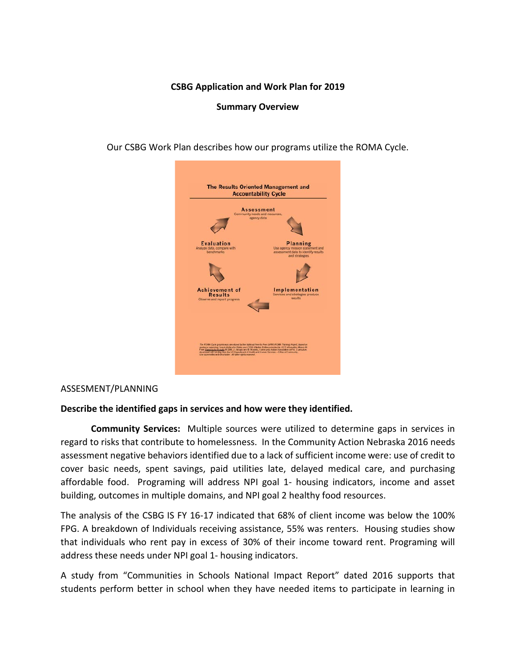### **CSBG Application and Work Plan for 2019**

### **Summary Overview**

Our CSBG Work Plan describes how our programs utilize the ROMA Cycle.



#### ASSESMENT/PLANNING

#### **Describe the identified gaps in services and how were they identified.**

**Community Services:** Multiple sources were utilized to determine gaps in services in regard to risks that contribute to homelessness. In the Community Action Nebraska 2016 needs assessment negative behaviors identified due to a lack of sufficient income were: use of credit to cover basic needs, spent savings, paid utilities late, delayed medical care, and purchasing affordable food. Programing will address NPI goal 1- housing indicators, income and asset building, outcomes in multiple domains, and NPI goal 2 healthy food resources.

The analysis of the CSBG IS FY 16-17 indicated that 68% of client income was below the 100% FPG. A breakdown of Individuals receiving assistance, 55% was renters. Housing studies show that individuals who rent pay in excess of 30% of their income toward rent. Programing will address these needs under NPI goal 1- housing indicators.

A study from "Communities in Schools National Impact Report" dated 2016 supports that students perform better in school when they have needed items to participate in learning in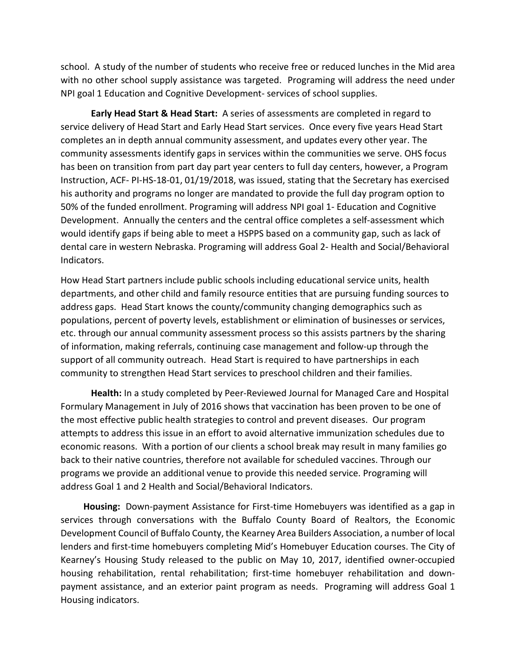school. A study of the number of students who receive free or reduced lunches in the Mid area with no other school supply assistance was targeted. Programing will address the need under NPI goal 1 Education and Cognitive Development- services of school supplies.

**Early Head Start & Head Start:** A series of assessments are completed in regard to service delivery of Head Start and Early Head Start services. Once every five years Head Start completes an in depth annual community assessment, and updates every other year. The community assessments identify gaps in services within the communities we serve. OHS focus has been on transition from part day part year centers to full day centers, however, a Program Instruction, ACF- PI-HS-18-01, 01/19/2018, was issued, stating that the Secretary has exercised his authority and programs no longer are mandated to provide the full day program option to 50% of the funded enrollment. Programing will address NPI goal 1- Education and Cognitive Development. Annually the centers and the central office completes a self-assessment which would identify gaps if being able to meet a HSPPS based on a community gap, such as lack of dental care in western Nebraska. Programing will address Goal 2- Health and Social/Behavioral Indicators.

How Head Start partners include public schools including educational service units, health departments, and other child and family resource entities that are pursuing funding sources to address gaps. Head Start knows the county/community changing demographics such as populations, percent of poverty levels, establishment or elimination of businesses or services, etc. through our annual community assessment process so this assists partners by the sharing of information, making referrals, continuing case management and follow-up through the support of all community outreach. Head Start is required to have partnerships in each community to strengthen Head Start services to preschool children and their families.

**Health:** In a study completed by Peer-Reviewed Journal for Managed Care and Hospital Formulary Management in July of 2016 shows that vaccination has been proven to be one of the most effective public health strategies to control and prevent diseases. Our program attempts to address this issue in an effort to avoid alternative immunization schedules due to economic reasons. With a portion of our clients a school break may result in many families go back to their native countries, therefore not available for scheduled vaccines. Through our programs we provide an additional venue to provide this needed service. Programing will address Goal 1 and 2 Health and Social/Behavioral Indicators.

**Housing:** Down-payment Assistance for First-time Homebuyers was identified as a gap in services through conversations with the Buffalo County Board of Realtors, the Economic Development Council of Buffalo County, the Kearney Area Builders Association, a number of local lenders and first-time homebuyers completing Mid's Homebuyer Education courses. The City of Kearney's Housing Study released to the public on May 10, 2017, identified owner-occupied housing rehabilitation, rental rehabilitation; first-time homebuyer rehabilitation and downpayment assistance, and an exterior paint program as needs. Programing will address Goal 1 Housing indicators.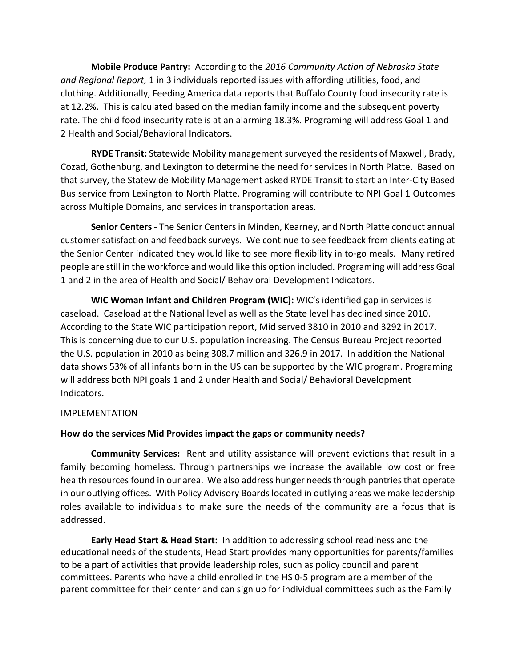**Mobile Produce Pantry:** According to the *2016 Community Action of Nebraska State and Regional Report,* 1 in 3 individuals reported issues with affording utilities, food, and clothing. Additionally, Feeding America data reports that Buffalo County food insecurity rate is at 12.2%. This is calculated based on the median family income and the subsequent poverty rate. The child food insecurity rate is at an alarming 18.3%. Programing will address Goal 1 and 2 Health and Social/Behavioral Indicators.

**RYDE Transit:** Statewide Mobility management surveyed the residents of Maxwell, Brady, Cozad, Gothenburg, and Lexington to determine the need for services in North Platte. Based on that survey, the Statewide Mobility Management asked RYDE Transit to start an Inter-City Based Bus service from Lexington to North Platte. Programing will contribute to NPI Goal 1 Outcomes across Multiple Domains, and services in transportation areas.

**Senior Centers -** The Senior Centers in Minden, Kearney, and North Platte conduct annual customer satisfaction and feedback surveys. We continue to see feedback from clients eating at the Senior Center indicated they would like to see more flexibility in to-go meals. Many retired people are still in the workforce and would like this option included. Programing will address Goal 1 and 2 in the area of Health and Social/ Behavioral Development Indicators.

**WIC Woman Infant and Children Program (WIC):** WIC's identified gap in services is caseload. Caseload at the National level as well as the State level has declined since 2010. According to the State WIC participation report, Mid served 3810 in 2010 and 3292 in 2017. This is concerning due to our U.S. population increasing. The Census Bureau Project reported the U.S. population in 2010 as being 308.7 million and 326.9 in 2017. In addition the National data shows 53% of all infants born in the US can be supported by the WIC program. Programing will address both NPI goals 1 and 2 under Health and Social/ Behavioral Development Indicators.

### IMPLEMENTATION

## **How do the services Mid Provides impact the gaps or community needs?**

**Community Services:** Rent and utility assistance will prevent evictions that result in a family becoming homeless. Through partnerships we increase the available low cost or free health resources found in our area. We also address hunger needs through pantries that operate in our outlying offices. With Policy Advisory Boards located in outlying areas we make leadership roles available to individuals to make sure the needs of the community are a focus that is addressed.

**Early Head Start & Head Start:** In addition to addressing school readiness and the educational needs of the students, Head Start provides many opportunities for parents/families to be a part of activities that provide leadership roles, such as policy council and parent committees. Parents who have a child enrolled in the HS 0-5 program are a member of the parent committee for their center and can sign up for individual committees such as the Family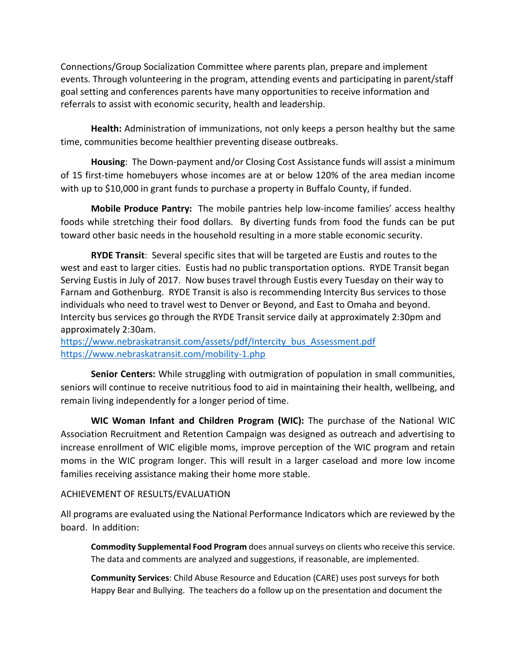Connections/Group Socialization Committee where parents plan, prepare and implement events. Through volunteering in the program, attending events and participating in parent/staff goal setting and conferences parents have many opportunities to receive information and referrals to assist with economic security, health and leadership.

**Health:** Administration of immunizations, not only keeps a person healthy but the same time, communities become healthier preventing disease outbreaks.

**Housing**: The Down-payment and/or Closing Cost Assistance funds will assist a minimum of 15 first-time homebuyers whose incomes are at or below 120% of the area median income with up to \$10,000 in grant funds to purchase a property in Buffalo County, if funded.

**Mobile Produce Pantry:** The mobile pantries help low-income families' access healthy foods while stretching their food dollars. By diverting funds from food the funds can be put toward other basic needs in the household resulting in a more stable economic security.

**RYDE Transit**: Several specific sites that will be targeted are Eustis and routes to the west and east to larger cities. Eustis had no public transportation options. RYDE Transit began Serving Eustis in July of 2017. Now buses travel through Eustis every Tuesday on their way to Farnam and Gothenburg. RYDE Transit is also is recommending Intercity Bus services to those individuals who need to travel west to Denver or Beyond, and East to Omaha and beyond. Intercity bus services go through the RYDE Transit service daily at approximately 2:30pm and approximately 2:30am.

[https://www.nebraskatransit.com/assets/pdf/Intercity\\_bus\\_Assessment.pdf](https://www.nebraskatransit.com/assets/pdf/Intercity_bus_Assessment.pdf) <https://www.nebraskatransit.com/mobility-1.php>

**Senior Centers:** While struggling with outmigration of population in small communities, seniors will continue to receive nutritious food to aid in maintaining their health, wellbeing, and remain living independently for a longer period of time.

**WIC Woman Infant and Children Program (WIC):** The purchase of the National WIC Association Recruitment and Retention Campaign was designed as outreach and advertising to increase enrollment of WIC eligible moms, improve perception of the WIC program and retain moms in the WIC program longer. This will result in a larger caseload and more low income families receiving assistance making their home more stable.

## ACHIEVEMENT OF RESULTS/EVALUATION

All programs are evaluated using the National Performance Indicators which are reviewed by the board. In addition:

**Commodity Supplemental Food Program** does annual surveys on clients who receive this service. The data and comments are analyzed and suggestions, if reasonable, are implemented.

**Community Services**: Child Abuse Resource and Education (CARE) uses post surveys for both Happy Bear and Bullying. The teachers do a follow up on the presentation and document the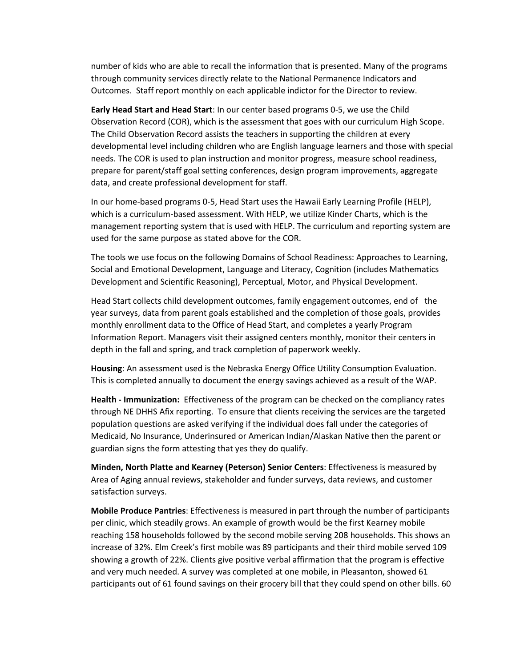number of kids who are able to recall the information that is presented. Many of the programs through community services directly relate to the National Permanence Indicators and Outcomes. Staff report monthly on each applicable indictor for the Director to review.

**Early Head Start and Head Start**: In our center based programs 0-5, we use the Child Observation Record (COR), which is the assessment that goes with our curriculum High Scope. The Child Observation Record assists the teachers in supporting the children at every developmental level including children who are English language learners and those with special needs. The COR is used to plan instruction and monitor progress, measure school readiness, prepare for parent/staff goal setting conferences, design program improvements, aggregate data, and create professional development for staff.

In our home-based programs 0-5, Head Start uses the Hawaii Early Learning Profile (HELP), which is a curriculum-based assessment. With HELP, we utilize Kinder Charts, which is the management reporting system that is used with HELP. The curriculum and reporting system are used for the same purpose as stated above for the COR.

The tools we use focus on the following Domains of School Readiness: Approaches to Learning, Social and Emotional Development, Language and Literacy, Cognition (includes Mathematics Development and Scientific Reasoning), Perceptual, Motor, and Physical Development.

Head Start collects child development outcomes, family engagement outcomes, end of the year surveys, data from parent goals established and the completion of those goals, provides monthly enrollment data to the Office of Head Start, and completes a yearly Program Information Report. Managers visit their assigned centers monthly, monitor their centers in depth in the fall and spring, and track completion of paperwork weekly.

**Housing**: An assessment used is the Nebraska Energy Office Utility Consumption Evaluation. This is completed annually to document the energy savings achieved as a result of the WAP.

**Health - Immunization:** Effectiveness of the program can be checked on the compliancy rates through NE DHHS Afix reporting. To ensure that clients receiving the services are the targeted population questions are asked verifying if the individual does fall under the categories of Medicaid, No Insurance, Underinsured or American Indian/Alaskan Native then the parent or guardian signs the form attesting that yes they do qualify.

**Minden, North Platte and Kearney (Peterson) Senior Centers**: Effectiveness is measured by Area of Aging annual reviews, stakeholder and funder surveys, data reviews, and customer satisfaction surveys.

**Mobile Produce Pantries**: Effectiveness is measured in part through the number of participants per clinic, which steadily grows. An example of growth would be the first Kearney mobile reaching 158 households followed by the second mobile serving 208 households. This shows an increase of 32%. Elm Creek's first mobile was 89 participants and their third mobile served 109 showing a growth of 22%. Clients give positive verbal affirmation that the program is effective and very much needed. A survey was completed at one mobile, in Pleasanton, showed 61 participants out of 61 found savings on their grocery bill that they could spend on other bills. 60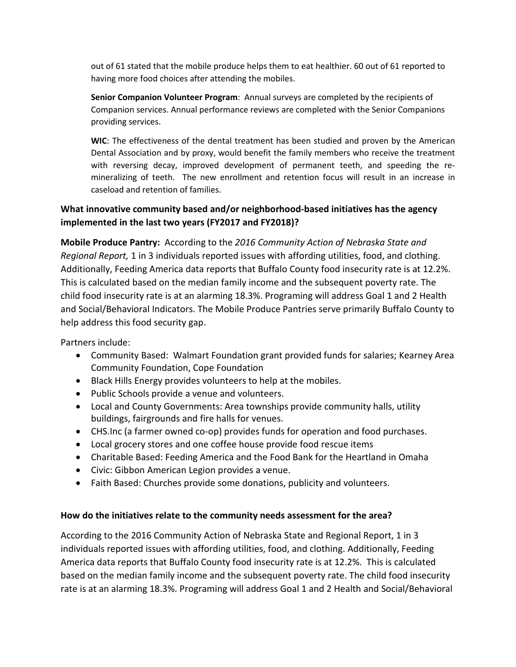out of 61 stated that the mobile produce helps them to eat healthier. 60 out of 61 reported to having more food choices after attending the mobiles.

**Senior Companion Volunteer Program**: Annual surveys are completed by the recipients of Companion services. Annual performance reviews are completed with the Senior Companions providing services.

**WIC**: The effectiveness of the dental treatment has been studied and proven by the American Dental Association and by proxy, would benefit the family members who receive the treatment with reversing decay, improved development of permanent teeth, and speeding the remineralizing of teeth. The new enrollment and retention focus will result in an increase in caseload and retention of families.

## **What innovative community based and/or neighborhood-based initiatives has the agency implemented in the last two years (FY2017 and FY2018)?**

**Mobile Produce Pantry:** According to the *2016 Community Action of Nebraska State and Regional Report,* 1 in 3 individuals reported issues with affording utilities, food, and clothing. Additionally, Feeding America data reports that Buffalo County food insecurity rate is at 12.2%. This is calculated based on the median family income and the subsequent poverty rate. The child food insecurity rate is at an alarming 18.3%. Programing will address Goal 1 and 2 Health and Social/Behavioral Indicators. The Mobile Produce Pantries serve primarily Buffalo County to help address this food security gap.

Partners include:

- Community Based: Walmart Foundation grant provided funds for salaries; Kearney Area Community Foundation, Cope Foundation
- Black Hills Energy provides volunteers to help at the mobiles.
- Public Schools provide a venue and volunteers.
- Local and County Governments: Area townships provide community halls, utility buildings, fairgrounds and fire halls for venues.
- CHS.Inc (a farmer owned co-op) provides funds for operation and food purchases.
- Local grocery stores and one coffee house provide food rescue items
- Charitable Based: Feeding America and the Food Bank for the Heartland in Omaha
- Civic: Gibbon American Legion provides a venue.
- Faith Based: Churches provide some donations, publicity and volunteers.

### **How do the initiatives relate to the community needs assessment for the area?**

According to the 2016 Community Action of Nebraska State and Regional Report, 1 in 3 individuals reported issues with affording utilities, food, and clothing. Additionally, Feeding America data reports that Buffalo County food insecurity rate is at 12.2%. This is calculated based on the median family income and the subsequent poverty rate. The child food insecurity rate is at an alarming 18.3%. Programing will address Goal 1 and 2 Health and Social/Behavioral